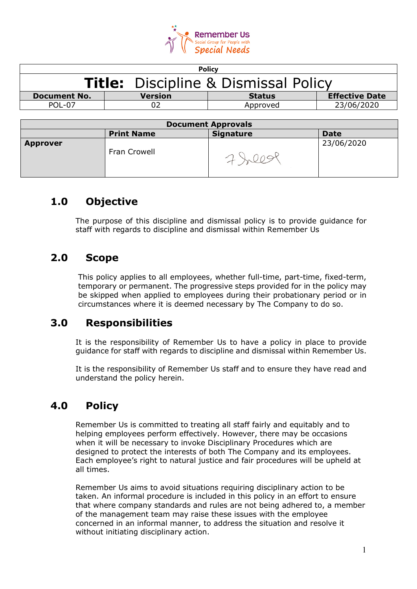

| <b>Policy</b>                               |         |               |                       |
|---------------------------------------------|---------|---------------|-----------------------|
| <b>Title:</b> Discipline & Dismissal Policy |         |               |                       |
| <b>Document No.</b>                         | Version | <b>Status</b> | <b>Effective Date</b> |
| <b>POL-07</b>                               |         | Approved      | 23/06/2020            |
|                                             |         |               |                       |
|                                             | -       |               |                       |

| <b>Document Approvals</b> |                   |                  |             |
|---------------------------|-------------------|------------------|-------------|
|                           | <b>Print Name</b> | <b>Signature</b> | <b>Date</b> |
| <b>Approver</b>           | Fran Crowell      |                  | 23/06/2020  |

## **1.0 Objective**

The purpose of this discipline and dismissal policy is to provide guidance for staff with regards to discipline and dismissal within Remember Us

# **2.0 Scope**

This policy applies to all employees, whether full-time, part-time, fixed-term, temporary or permanent. The progressive steps provided for in the policy may be skipped when applied to employees during their probationary period or in circumstances where it is deemed necessary by The Company to do so.

## **3.0 Responsibilities**

It is the responsibility of Remember Us to have a policy in place to provide guidance for staff with regards to discipline and dismissal within Remember Us.

It is the responsibility of Remember Us staff and to ensure they have read and understand the policy herein.

# **4.0 Policy**

Remember Us is committed to treating all staff fairly and equitably and to helping employees perform effectively. However, there may be occasions when it will be necessary to invoke Disciplinary Procedures which are designed to protect the interests of both The Company and its employees. Each employee's right to natural justice and fair procedures will be upheld at all times.

Remember Us aims to avoid situations requiring disciplinary action to be taken. An informal procedure is included in this policy in an effort to ensure that where company standards and rules are not being adhered to, a member of the management team may raise these issues with the employee concerned in an informal manner, to address the situation and resolve it without initiating disciplinary action.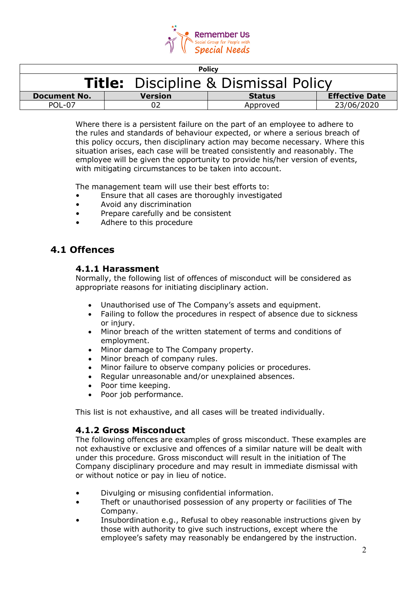

| <b>Policy</b>                               |                |               |                       |
|---------------------------------------------|----------------|---------------|-----------------------|
| <b>Title:</b> Discipline & Dismissal Policy |                |               |                       |
| <b>Document No.</b>                         | <b>Version</b> | <b>Status</b> | <b>Effective Date</b> |
| POL-07                                      |                | Approved      | 23/06/2020            |

Where there is a persistent failure on the part of an employee to adhere to the rules and standards of behaviour expected, or where a serious breach of this policy occurs, then disciplinary action may become necessary. Where this situation arises, each case will be treated consistently and reasonably. The employee will be given the opportunity to provide his/her version of events, with mitigating circumstances to be taken into account.

The management team will use their best efforts to:

- Ensure that all cases are thoroughly investigated
- Avoid any discrimination
- Prepare carefully and be consistent
- Adhere to this procedure

## **4.1 Offences**

### **4.1.1 Harassment**

Normally, the following list of offences of misconduct will be considered as appropriate reasons for initiating disciplinary action.

- Unauthorised use of The Company's assets and equipment.
- Failing to follow the procedures in respect of absence due to sickness or injury.
- Minor breach of the written statement of terms and conditions of employment.
- Minor damage to The Company property.
- Minor breach of company rules.
- Minor failure to observe company policies or procedures.
- Regular unreasonable and/or unexplained absences.
- Poor time keeping.
- Poor job performance.

This list is not exhaustive, and all cases will be treated individually.

#### **4.1.2 Gross Misconduct**

The following offences are examples of gross misconduct. These examples are not exhaustive or exclusive and offences of a similar nature will be dealt with under this procedure. Gross misconduct will result in the initiation of The Company disciplinary procedure and may result in immediate dismissal with or without notice or pay in lieu of notice.

- Divulging or misusing confidential information.
- Theft or unauthorised possession of any property or facilities of The Company.
- Insubordination e.g., Refusal to obey reasonable instructions given by those with authority to give such instructions, except where the employee's safety may reasonably be endangered by the instruction.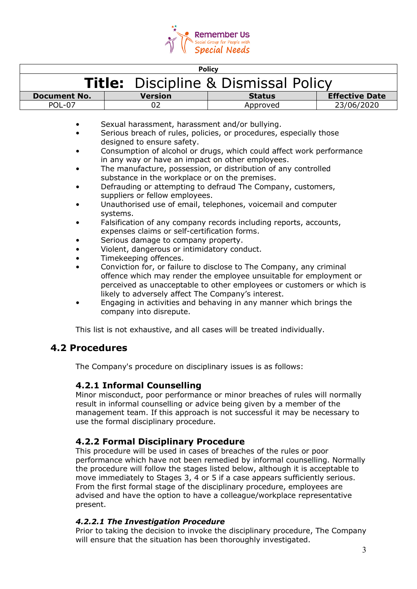

| <b>Policy</b>                               |                |               |                       |
|---------------------------------------------|----------------|---------------|-----------------------|
| <b>Title:</b> Discipline & Dismissal Policy |                |               |                       |
| <b>Document No.</b>                         | <b>Version</b> | <b>Status</b> | <b>Effective Date</b> |
| POL-07                                      |                | Approved      | 23/06/2020            |

- Sexual harassment, harassment and/or bullying.
- Serious breach of rules, policies, or procedures, especially those designed to ensure safety.
- Consumption of alcohol or drugs, which could affect work performance in any way or have an impact on other employees.
- The manufacture, possession, or distribution of any controlled substance in the workplace or on the premises.
- Defrauding or attempting to defraud The Company, customers, suppliers or fellow employees.
- Unauthorised use of email, telephones, voicemail and computer systems.
- Falsification of any company records including reports, accounts, expenses claims or self-certification forms.
- Serious damage to company property.
- Violent, dangerous or intimidatory conduct.
- Timekeeping offences.
- Conviction for, or failure to disclose to The Company, any criminal offence which may render the employee unsuitable for employment or perceived as unacceptable to other employees or customers or which is likely to adversely affect The Company's interest.
- Engaging in activities and behaving in any manner which brings the company into disrepute.

This list is not exhaustive, and all cases will be treated individually.

### **4.2 Procedures**

The Company's procedure on disciplinary issues is as follows:

### **4.2.1 Informal Counselling**

Minor misconduct, poor performance or minor breaches of rules will normally result in informal counselling or advice being given by a member of the management team. If this approach is not successful it may be necessary to use the formal disciplinary procedure.

### **4.2.2 Formal Disciplinary Procedure**

This procedure will be used in cases of breaches of the rules or poor performance which have not been remedied by informal counselling. Normally the procedure will follow the stages listed below, although it is acceptable to move immediately to Stages 3, 4 or 5 if a case appears sufficiently serious. From the first formal stage of the disciplinary procedure, employees are advised and have the option to have a colleague/workplace representative present.

#### *4.2.2.1 The Investigation Procedure*

Prior to taking the decision to invoke the disciplinary procedure, The Company will ensure that the situation has been thoroughly investigated.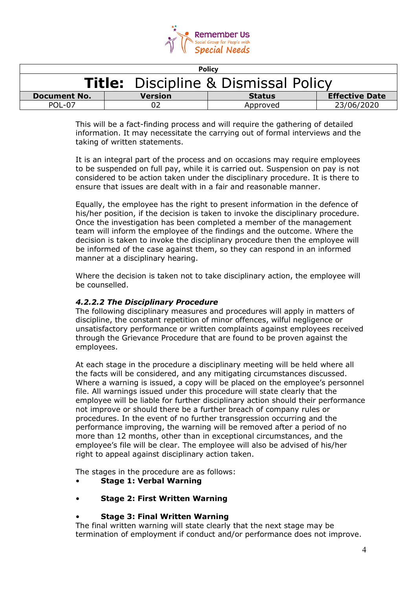

| <b>Policy</b>                               |                |               |                       |
|---------------------------------------------|----------------|---------------|-----------------------|
| <b>Title:</b> Discipline & Dismissal Policy |                |               |                       |
| <b>Document No.</b>                         | <b>Version</b> | <b>Status</b> | <b>Effective Date</b> |
| $POI - 07$                                  |                | Approved      | 23/06/2020            |

This will be a fact-finding process and will require the gathering of detailed information. It may necessitate the carrying out of formal interviews and the taking of written statements.

It is an integral part of the process and on occasions may require employees to be suspended on full pay, while it is carried out. Suspension on pay is not considered to be action taken under the disciplinary procedure. It is there to ensure that issues are dealt with in a fair and reasonable manner.

Equally, the employee has the right to present information in the defence of his/her position, if the decision is taken to invoke the disciplinary procedure. Once the investigation has been completed a member of the management team will inform the employee of the findings and the outcome. Where the decision is taken to invoke the disciplinary procedure then the employee will be informed of the case against them, so they can respond in an informed manner at a disciplinary hearing.

Where the decision is taken not to take disciplinary action, the employee will be counselled.

### *4.2.2.2 The Disciplinary Procedure*

The following disciplinary measures and procedures will apply in matters of discipline, the constant repetition of minor offences, wilful negligence or unsatisfactory performance or written complaints against employees received through the Grievance Procedure that are found to be proven against the employees.

At each stage in the procedure a disciplinary meeting will be held where all the facts will be considered, and any mitigating circumstances discussed. Where a warning is issued, a copy will be placed on the employee's personnel file. All warnings issued under this procedure will state clearly that the employee will be liable for further disciplinary action should their performance not improve or should there be a further breach of company rules or procedures. In the event of no further transgression occurring and the performance improving, the warning will be removed after a period of no more than 12 months, other than in exceptional circumstances, and the employee's file will be clear. The employee will also be advised of his/her right to appeal against disciplinary action taken.

The stages in the procedure are as follows:

- **Stage 1: Verbal Warning**
- **Stage 2: First Written Warning**

#### • **Stage 3: Final Written Warning**

The final written warning will state clearly that the next stage may be termination of employment if conduct and/or performance does not improve.